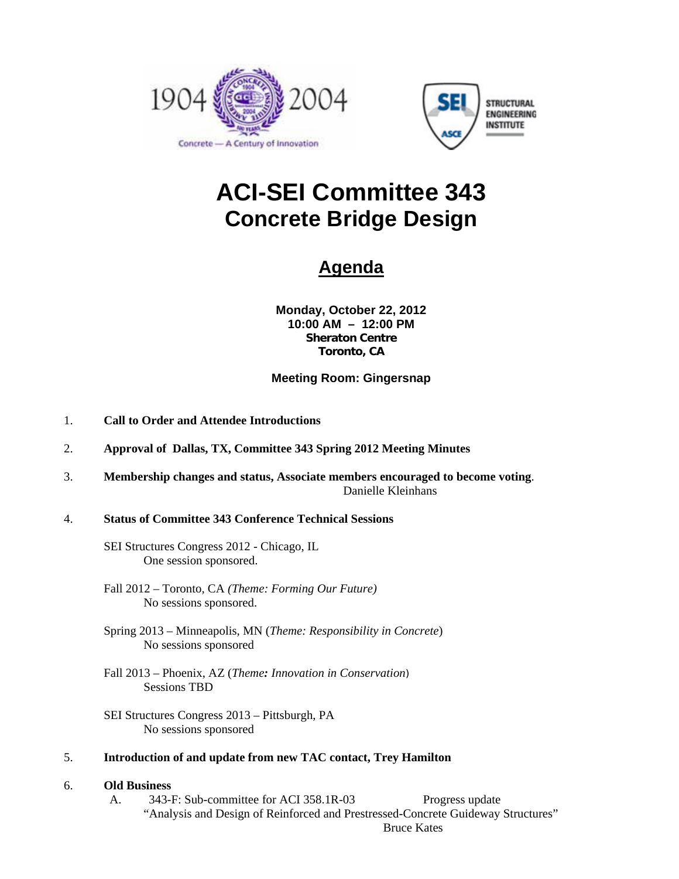



# **ACI-SEI Committee 343 Concrete Bridge Design**

## **Agenda**

**Monday, October 22, 2012 10:00 AM – 12:00 PM Sheraton Centre Toronto, CA** 

#### **Meeting Room: Gingersnap**

- 1. **Call to Order and Attendee Introductions**
- 2. **Approval of Dallas, TX, Committee 343 Spring 2012 Meeting Minutes**
- 3. **Membership changes and status, Associate members encouraged to become voting**. Danielle Kleinhans

#### 4. **Status of Committee 343 Conference Technical Sessions**

- SEI Structures Congress 2012 Chicago, IL One session sponsored.
- Fall 2012 Toronto, CA *(Theme: Forming Our Future)*  No sessions sponsored.
- Spring 2013 Minneapolis, MN (*Theme: Responsibility in Concrete*) No sessions sponsored
- Fall 2013 Phoenix, AZ (*Theme: Innovation in Conservation*) Sessions TBD
- SEI Structures Congress 2013 Pittsburgh, PA No sessions sponsored
- 5. **Introduction of and update from new TAC contact, Trey Hamilton**

#### 6. **Old Business**

A. 343-F: Sub-committee for ACI 358.1R-03 Progress update "Analysis and Design of Reinforced and Prestressed-Concrete Guideway Structures" Bruce Kates